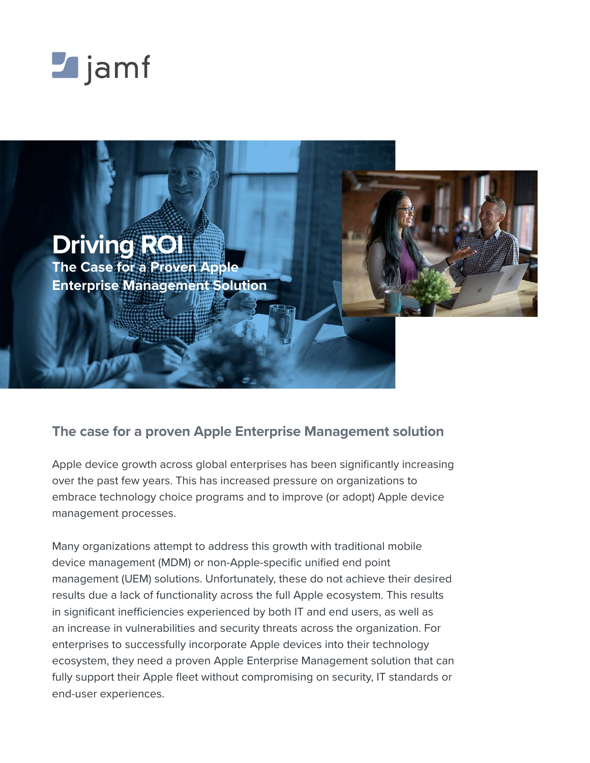



## **The case for a proven Apple Enterprise Management solution**

Apple device growth across global enterprises has been significantly increasing over the past few years. This has increased pressure on organizations to embrace technology choice programs and to improve (or adopt) Apple device management processes.

Many organizations attempt to address this growth with traditional mobile device management (MDM) or non-Apple-specific unified end point management (UEM) solutions. Unfortunately, these do not achieve their desired results due a lack of functionality across the full Apple ecosystem. This results in significant inefficiencies experienced by both IT and end users, as well as an increase in vulnerabilities and security threats across the organization. For enterprises to successfully incorporate Apple devices into their technology ecosystem, they need a proven Apple Enterprise Management solution that can fully support their Apple fleet without compromising on security, IT standards or end-user experiences.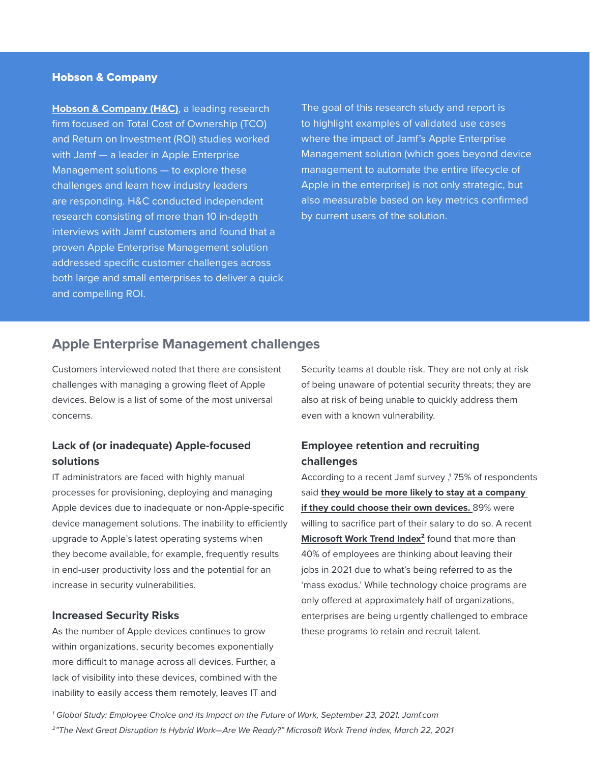#### Hobson & Company

**[Hobson & Company \(H&C\)](http://hobsonco.com/)**, a leading research firm focused on Total Cost of Ownership (TCO) and Return on Investment (ROI) studies worked with Jamf — a leader in Apple Enterprise Management solutions — to explore these challenges and learn how industry leaders are responding. H&C conducted independent research consisting of more than 10 in-depth interviews with Jamf customers and found that a proven Apple Enterprise Management solution addressed specific customer challenges across both large and small enterprises to deliver a quick and compelling ROI.

The goal of this research study and report is to highlight examples of validated use cases where the impact of Jamf's Apple Enterprise Management solution (which goes beyond device management to automate the entire lifecycle of Apple in the enterprise) is not only strategic, but also measurable based on key metrics confirmed by current users of the solution.

### **Apple Enterprise Management challenges**

Customers interviewed noted that there are consistent challenges with managing a growing fleet of Apple devices. Below is a list of some of the most universal concerns.

### **Lack of (or inadequate) Apple-focused solutions**

IT administrators are faced with highly manual processes for provisioning, deploying and managing Apple devices due to inadequate or non-Apple-specific device management solutions. The inability to efficiently upgrade to Apple's latest operating systems when they become available, for example, frequently results in end-user productivity loss and the potential for an increase in security vulnerabilities.

#### **Increased Security Risks**

As the number of Apple devices continues to grow within organizations, security becomes exponentially more difficult to manage across all devices. Further, a lack of visibility into these devices, combined with the inability to easily access them remotely, leaves IT and Security teams at double risk. They are not only at risk of being unaware of potential security threats; they are also at risk of being unable to quickly address them even with a known vulnerability.

### **Employee retention and recruiting challenges**

According to a recent Jamf survey , 175% of respondents said **[they would be more likely to stay at a company](https://www.jamf.com/resources/e-books/global-study-employee-choice-2021/)  [if they could choose their own devices.](https://www.jamf.com/resources/e-books/global-study-employee-choice-2021/)** 89% were willing to sacrifice part of their salary to do so. A recent **[Microsoft Work Trend Index](https://www.microsoft.com/en-us/worklab/work-trend-index/hybrid-work)²** found that more than 40% of employees are thinking about leaving their jobs in 2021 due to what's being referred to as the 'mass exodus.' While technology choice programs are only offered at approximately half of organizations, enterprises are being urgently challenged to embrace these programs to retain and recruit talent.

*1 Global Study: Employee Choice and its Impact on the Future of Work, September 23, 2021, Jamf.com*

*2"The Next Great Disruption Is Hybrid Work—Are We Ready?" Microsoft Work Trend Index, March 22, 2021*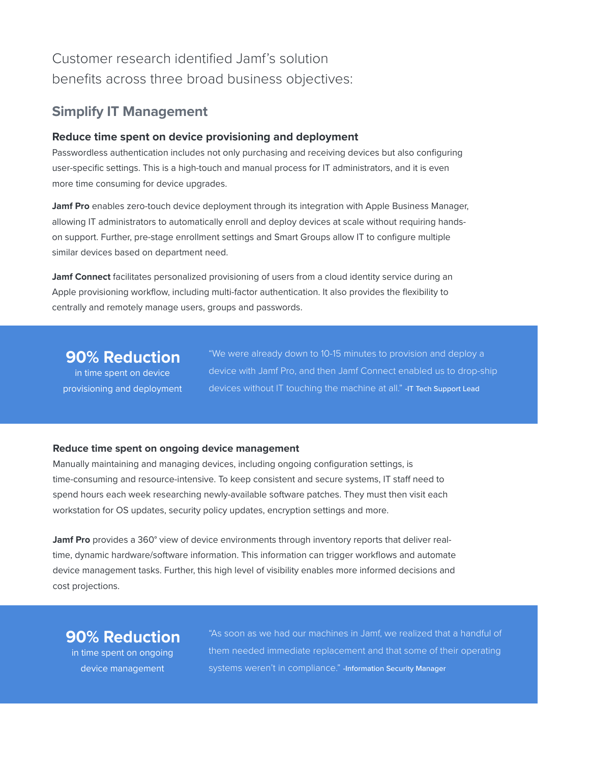# Customer research identified Jamf's solution benefits across three broad business objectives:

### **Simplify IT Management**

### **Reduce time spent on device provisioning and deployment**

Passwordless authentication includes not only purchasing and receiving devices but also configuring user-specific settings. This is a high-touch and manual process for IT administrators, and it is even more time consuming for device upgrades.

**Jamf Pro** enables zero-touch device deployment through its integration with Apple Business Manager, allowing IT administrators to automatically enroll and deploy devices at scale without requiring handson support. Further, pre-stage enrollment settings and Smart Groups allow IT to configure multiple similar devices based on department need.

**Jamf Connect** facilitates personalized provisioning of users from a cloud identity service during an Apple provisioning workflow, including multi-factor authentication. It also provides the flexibility to centrally and remotely manage users, groups and passwords.

## **90% Reduction**

in time spent on device provisioning and deployment

"We were already down to 10-15 minutes to provision and deploy a device with Jamf Pro, and then Jamf Connect enabled us to drop-ship devices without IT touching the machine at all." -IT Tech Support Lead

### **Reduce time spent on ongoing device management**

Manually maintaining and managing devices, including ongoing configuration settings, is time-consuming and resource-intensive. To keep consistent and secure systems, IT staff need to spend hours each week researching newly-available software patches. They must then visit each workstation for OS updates, security policy updates, encryption settings and more.

**Jamf Pro** provides a 360° view of device environments through inventory reports that deliver realtime, dynamic hardware/software information. This information can trigger workflows and automate device management tasks. Further, this high level of visibility enables more informed decisions and cost projections.

# **90% Reduction**

in time spent on ongoing device management

"As soon as we had our machines in Jamf, we realized that a handful of them needed immediate replacement and that some of their operating systems weren't in compliance." - Information Security Manager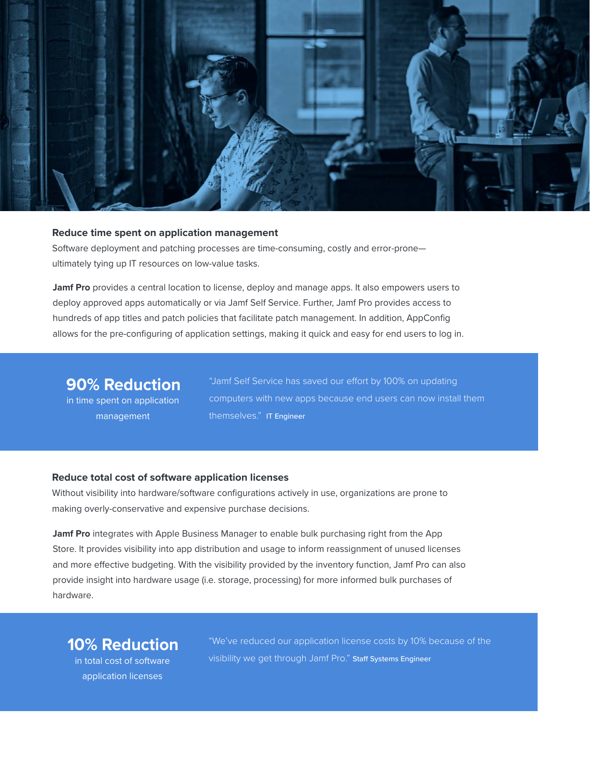

#### **Reduce time spent on application management**

Software deployment and patching processes are time-consuming, costly and error-prone ultimately tying up IT resources on low-value tasks.

**Jamf Pro** provides a central location to license, deploy and manage apps. It also empowers users to deploy approved apps automatically or via Jamf Self Service. Further, Jamf Pro provides access to hundreds of app titles and patch policies that facilitate patch management. In addition, AppConfig allows for the pre-configuring of application settings, making it quick and easy for end users to log in.

## **90% Reduction**

in time spent on application management

"Jamf Self Service has saved our effort by 100% on updating computers with new apps because end users can now install them themselves." IT Engineer

#### **Reduce total cost of software application licenses**

Without visibility into hardware/software configurations actively in use, organizations are prone to making overly-conservative and expensive purchase decisions.

**Jamf Pro** integrates with Apple Business Manager to enable bulk purchasing right from the App Store. It provides visibility into app distribution and usage to inform reassignment of unused licenses and more effective budgeting. With the visibility provided by the inventory function, Jamf Pro can also provide insight into hardware usage (i.e. storage, processing) for more informed bulk purchases of hardware.

## **10% Reduction**

in total cost of software application licenses

"We've reduced our application license costs by 10% because of the visibility we get through Jamf Pro." Staff Systems Engineer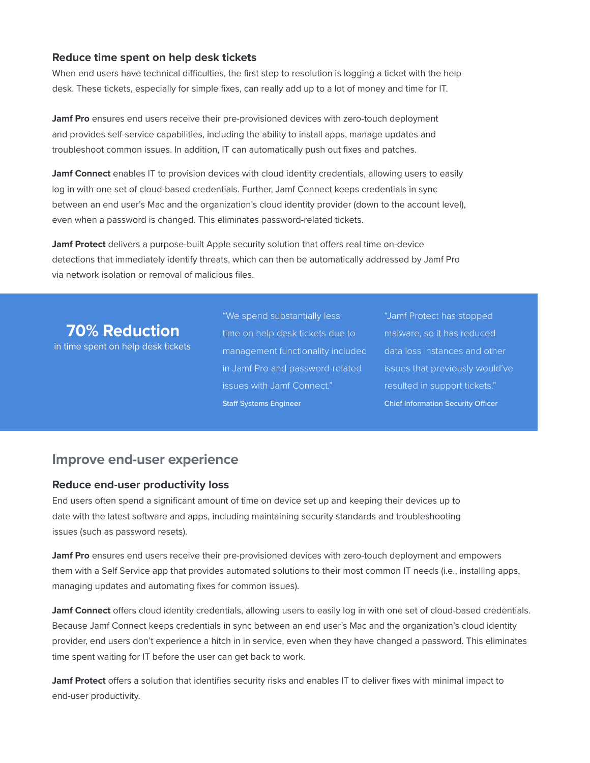### **Reduce time spent on help desk tickets**

When end users have technical difficulties, the first step to resolution is logging a ticket with the help desk. These tickets, especially for simple fixes, can really add up to a lot of money and time for IT.

**Jamf Pro** ensures end users receive their pre-provisioned devices with zero-touch deployment and provides self-service capabilities, including the ability to install apps, manage updates and troubleshoot common issues. In addition, IT can automatically push out fixes and patches.

**Jamf Connect** enables IT to provision devices with cloud identity credentials, allowing users to easily log in with one set of cloud-based credentials. Further, Jamf Connect keeps credentials in sync between an end user's Mac and the organization's cloud identity provider (down to the account level), even when a password is changed. This eliminates password-related tickets.

**Jamf Protect** delivers a purpose-built Apple security solution that offers real time on-device detections that immediately identify threats, which can then be automatically addressed by Jamf Pro via network isolation or removal of malicious files.

## **70% Reduction**

in time spent on help desk tickets

"We spend substantially less time on help desk tickets due to management functionality included in Jamf Pro and password-related issues with Jamf Connect." Staff Systems Engineer

"Jamf Protect has stopped malware, so it has reduced data loss instances and other issues that previously would've resulted in support tickets." Chief Information Security Officer

### **Improve end-user experience**

#### **Reduce end-user productivity loss**

End users often spend a significant amount of time on device set up and keeping their devices up to date with the latest software and apps, including maintaining security standards and troubleshooting issues (such as password resets).

**Jamf Pro** ensures end users receive their pre-provisioned devices with zero-touch deployment and empowers them with a Self Service app that provides automated solutions to their most common IT needs (i.e., installing apps, managing updates and automating fixes for common issues).

**Jamf Connect** offers cloud identity credentials, allowing users to easily log in with one set of cloud-based credentials. Because Jamf Connect keeps credentials in sync between an end user's Mac and the organization's cloud identity provider, end users don't experience a hitch in in service, even when they have changed a password. This eliminates time spent waiting for IT before the user can get back to work.

**Jamf Protect** offers a solution that identifies security risks and enables IT to deliver fixes with minimal impact to end-user productivity.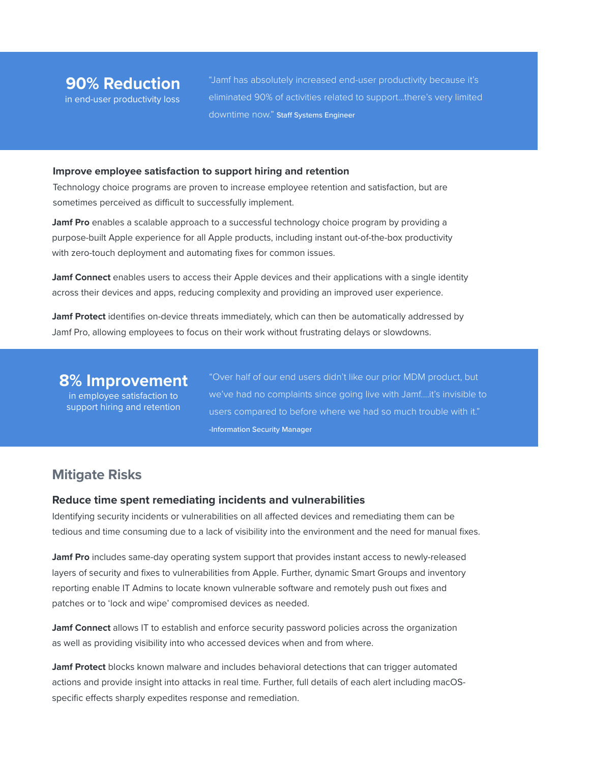"Jamf has absolutely increased end-user productivity because it's eliminated 90% of activities related to support…there's very limited downtime now." Staff Systems Engineer

#### **Improve employee satisfaction to support hiring and retention**

Technology choice programs are proven to increase employee retention and satisfaction, but are sometimes perceived as difficult to successfully implement.

**Jamf Pro** enables a scalable approach to a successful technology choice program by providing a purpose-built Apple experience for all Apple products, including instant out-of-the-box productivity with zero-touch deployment and automating fixes for common issues.

**Jamf Connect** enables users to access their Apple devices and their applications with a single identity across their devices and apps, reducing complexity and providing an improved user experience.

**Jamf Protect** identifies on-device threats immediately, which can then be automatically addressed by Jamf Pro, allowing employees to focus on their work without frustrating delays or slowdowns.

### **8% Improvement**

in employee satisfaction to support hiring and retention "Over half of our end users didn't like our prior MDM product, but we've had no complaints since going live with Jamf....it's invisible to users compared to before where we had so much trouble with it." -Information Security Manager

### **Mitigate Risks**

#### **Reduce time spent remediating incidents and vulnerabilities**

Identifying security incidents or vulnerabilities on all affected devices and remediating them can be tedious and time consuming due to a lack of visibility into the environment and the need for manual fixes.

**Jamf Pro** includes same-day operating system support that provides instant access to newly-released layers of security and fixes to vulnerabilities from Apple. Further, dynamic Smart Groups and inventory reporting enable IT Admins to locate known vulnerable software and remotely push out fixes and patches or to 'lock and wipe' compromised devices as needed.

**Jamf Connect** allows IT to establish and enforce security password policies across the organization as well as providing visibility into who accessed devices when and from where.

**Jamf Protect** blocks known malware and includes behavioral detections that can trigger automated actions and provide insight into attacks in real time. Further, full details of each alert including macOSspecific effects sharply expedites response and remediation.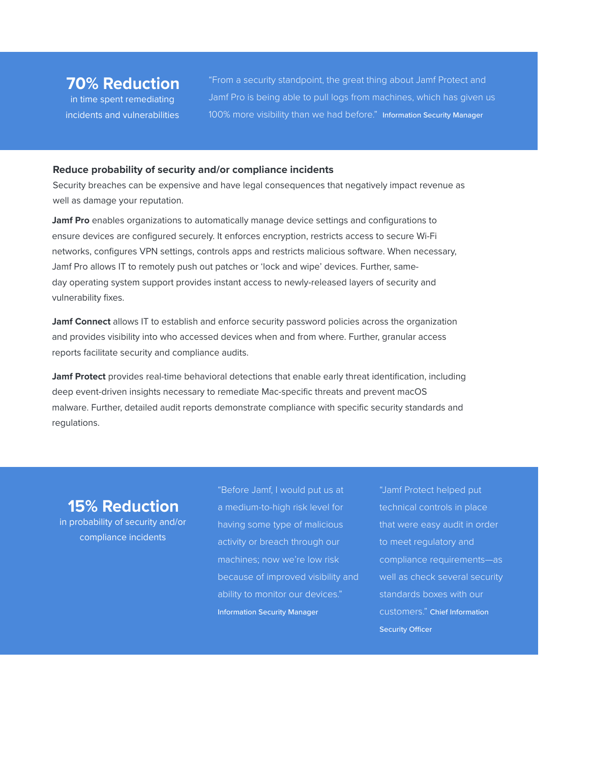## **70% Reduction**

in time spent remediating incidents and vulnerabilities "From a security standpoint, the great thing about Jamf Protect and Jamf Pro is being able to pull logs from machines, which has given us 100% more visibility than we had before." Information Security Manager

#### **Reduce probability of security and/or compliance incidents**

Security breaches can be expensive and have legal consequences that negatively impact revenue as well as damage your reputation.

**Jamf Pro** enables organizations to automatically manage device settings and configurations to ensure devices are configured securely. It enforces encryption, restricts access to secure Wi-Fi networks, configures VPN settings, controls apps and restricts malicious software. When necessary, Jamf Pro allows IT to remotely push out patches or 'lock and wipe' devices. Further, sameday operating system support provides instant access to newly-released layers of security and vulnerability fixes.

**Jamf Connect** allows IT to establish and enforce security password policies across the organization and provides visibility into who accessed devices when and from where. Further, granular access reports facilitate security and compliance audits.

**Jamf Protect** provides real-time behavioral detections that enable early threat identification, including deep event-driven insights necessary to remediate Mac-specific threats and prevent macOS malware. Further, detailed audit reports demonstrate compliance with specific security standards and regulations.

## **15% Reduction**

in probability of security and/or compliance incidents

"Before Jamf, I would put us at a medium-to-high risk level for having some type of malicious activity or breach through our machines; now we're low risk because of improved visibility and ability to monitor our devices." Information Security Manager

"Jamf Protect helped put technical controls in place that were easy audit in order to meet regulatory and compliance requirements—as well as check several security standards boxes with our customers." Chief Information Security Officer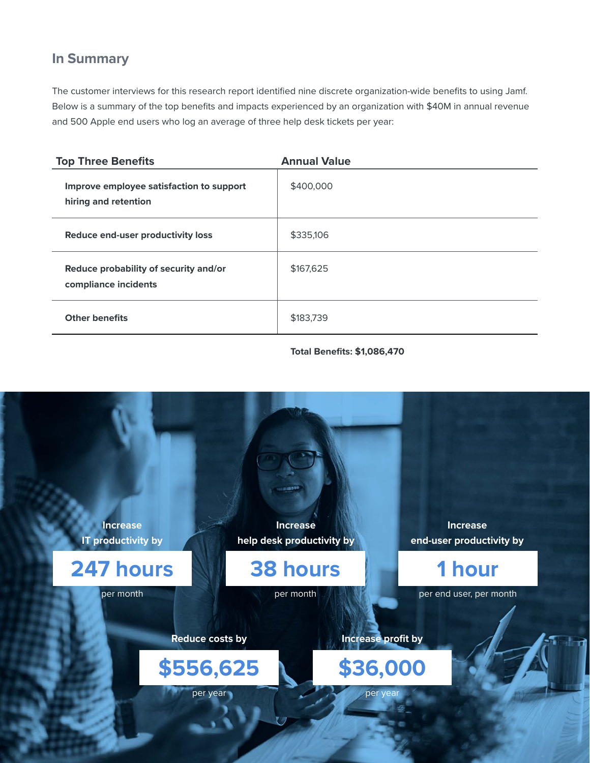## **In Summary**

The customer interviews for this research report identified nine discrete organization-wide benefits to using Jamf. Below is a summary of the top benefits and impacts experienced by an organization with \$40M in annual revenue and 500 Apple end users who log an average of three help desk tickets per year:

| <b>Top Three Benefits</b>                                        | <b>Annual Value</b> |
|------------------------------------------------------------------|---------------------|
| Improve employee satisfaction to support<br>hiring and retention | \$400,000           |
| Reduce end-user productivity loss                                | \$335,106           |
| Reduce probability of security and/or<br>compliance incidents    | \$167,625           |
| <b>Other benefits</b>                                            | \$183,739           |

**Total Benefits: \$1,086,470**

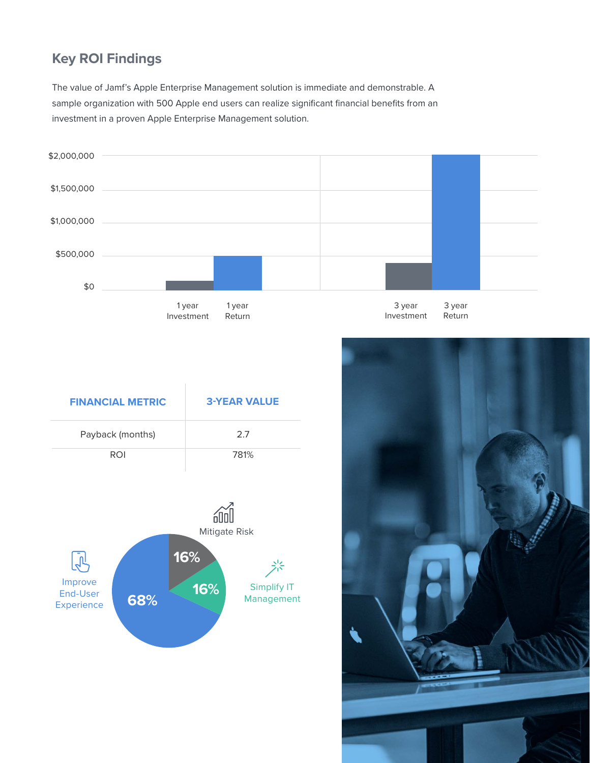# **Key ROI Findings**

The value of Jamf's Apple Enterprise Management solution is immediate and demonstrable. A sample organization with 500 Apple end users can realize significant financial benefits from an investment in a proven Apple Enterprise Management solution.



| <b>FINANCIAL METRIC</b> | <b>3-YEAR VALUE</b> |
|-------------------------|---------------------|
| Payback (months)        | 2.7                 |
| <b>ROI</b>              | 781%                |